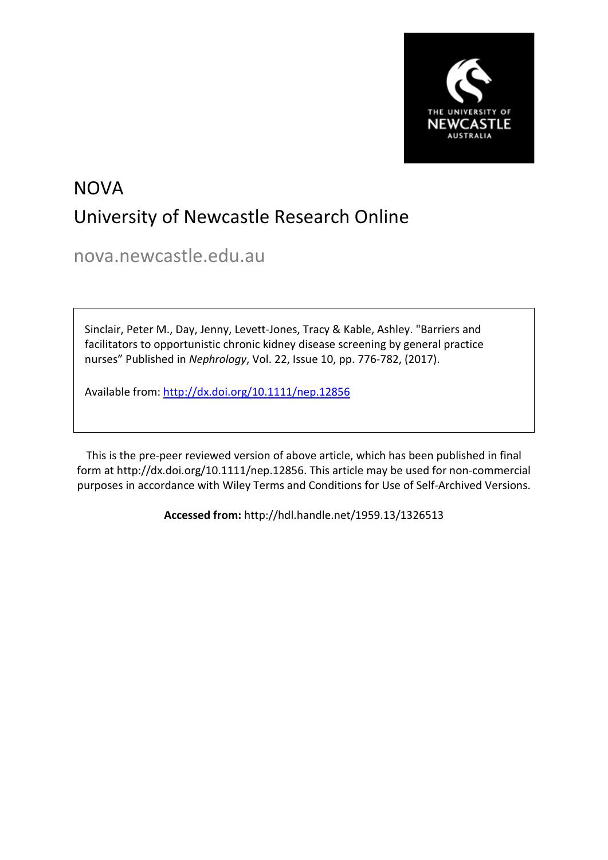

# NOVA University of Newcastle Research Online

nova.newcastle.edu.au

Sinclair, Peter M., Day, Jenny, Levett-Jones, Tracy & Kable, Ashley. "Barriers and facilitators to opportunistic chronic kidney disease screening by general practice nurses" Published in *Nephrology*, Vol. 22, Issue 10, pp. 776-782, (2017).

Available from: http://dx.doi.org/10.1111/nep.12856

This is the pre-peer reviewed version of above article, which has been published in final form at http://dx.doi.org/10.1111/nep.12856. This article may be used for non-commercial purposes in accordance with Wiley Terms and Conditions for Use of Self-Archived Versions.

**Accessed from:** http://hdl.handle.net/1959.13/1326513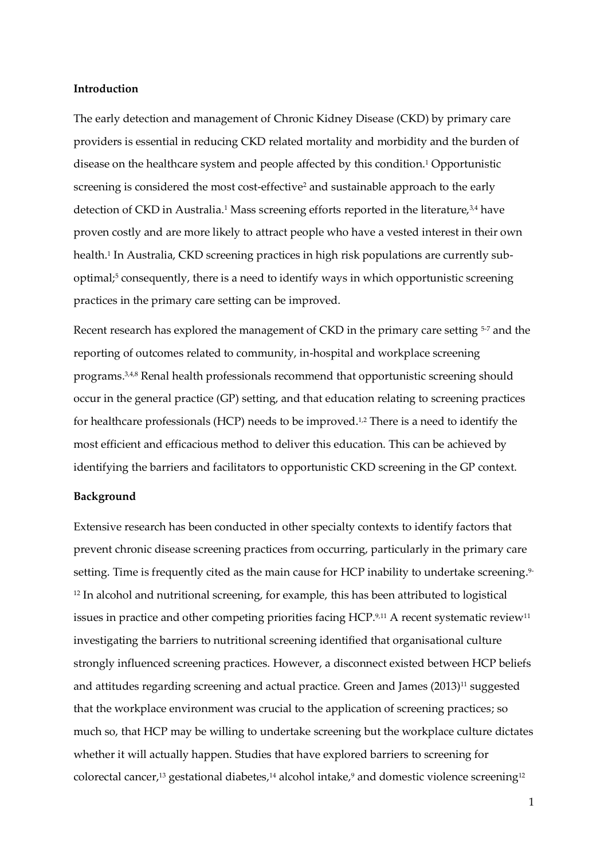#### **Introduction**

The early detection and management of Chronic Kidney Disease (CKD) by primary care providers is essential in reducing CKD related mortality and morbidity and the burden of disease on the healthcare system and people affected by this condition. <sup>1</sup> Opportunistic screening is considered the most cost-effective<sup>2</sup> and sustainable approach to the early detection of CKD in Australia.<sup>1</sup> Mass screening efforts reported in the literature,<sup>3,4</sup> have proven costly and are more likely to attract people who have a vested interest in their own health. 1 In Australia, CKD screening practices in high risk populations are currently suboptimal;<sup>5</sup> consequently, there is a need to identify ways in which opportunistic screening practices in the primary care setting can be improved.

Recent research has explored the management of CKD in the primary care setting 5-7 and the reporting of outcomes related to community, in-hospital and workplace screening programs.<sup>3,4,8</sup> Renal health professionals recommend that opportunistic screening should occur in the general practice (GP) setting, and that education relating to screening practices for healthcare professionals (HCP) needs to be improved. 1,2 There is a need to identify the most efficient and efficacious method to deliver this education. This can be achieved by identifying the barriers and facilitators to opportunistic CKD screening in the GP context.

### **Background**

Extensive research has been conducted in other specialty contexts to identify factors that prevent chronic disease screening practices from occurring, particularly in the primary care setting. Time is frequently cited as the main cause for HCP inability to undertake screening. 9- <sup>12</sup> In alcohol and nutritional screening, for example, this has been attributed to logistical issues in practice and other competing priorities facing HCP.9,11 A recent systematic review<sup>11</sup> investigating the barriers to nutritional screening identified that organisational culture strongly influenced screening practices. However, a disconnect existed between HCP beliefs and attitudes regarding screening and actual practice. Green and James (2013)<sup>11</sup> suggested that the workplace environment was crucial to the application of screening practices; so much so, that HCP may be willing to undertake screening but the workplace culture dictates whether it will actually happen. Studies that have explored barriers to screening for colorectal cancer,<sup>13</sup> gestational diabetes,<sup>14</sup> alcohol intake,<sup>9</sup> and domestic violence screening<sup>12</sup>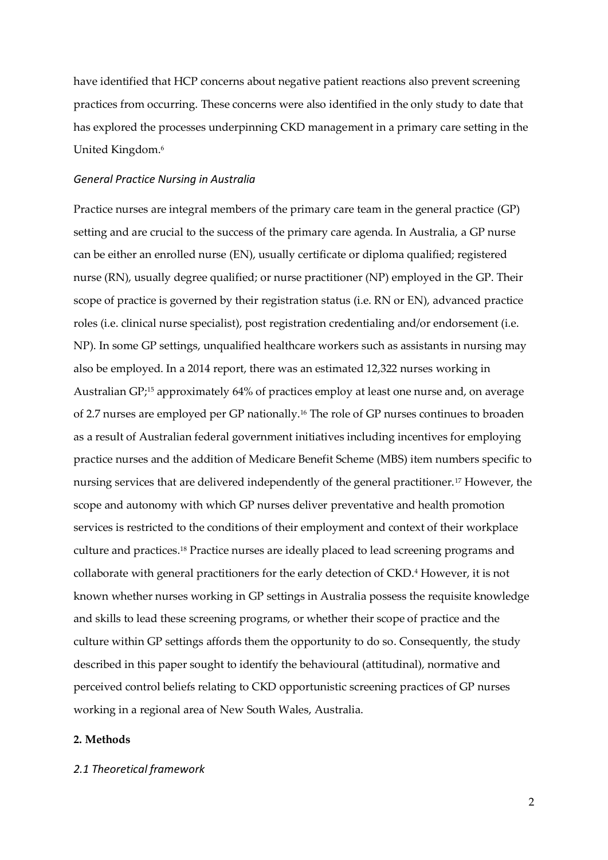have identified that HCP concerns about negative patient reactions also prevent screening practices from occurring. These concerns were also identified in the only study to date that has explored the processes underpinning CKD management in a primary care setting in the United Kingdom.<sup>6</sup>

### *General Practice Nursing in Australia*

Practice nurses are integral members of the primary care team in the general practice (GP) setting and are crucial to the success of the primary care agenda. In Australia, a GP nurse can be either an enrolled nurse (EN), usually certificate or diploma qualified; registered nurse (RN), usually degree qualified; or nurse practitioner (NP) employed in the GP. Their scope of practice is governed by their registration status (i.e. RN or EN), advanced practice roles (i.e. clinical nurse specialist), post registration credentialing and/or endorsement (i.e. NP). In some GP settings, unqualified healthcare workers such as assistants in nursing may also be employed. In a 2014 report, there was an estimated 12,322 nurses working in Australian GP; <sup>15</sup> approximately 64% of practices employ at least one nurse and, on average of 2.7 nurses are employed per GP nationally. <sup>16</sup> The role of GP nurses continues to broaden as a result of Australian federal government initiatives including incentives for employing practice nurses and the addition of Medicare Benefit Scheme (MBS) item numbers specific to nursing services that are delivered independently of the general practitioner.<sup>17</sup> However, the scope and autonomy with which GP nurses deliver preventative and health promotion services is restricted to the conditions of their employment and context of their workplace culture and practices.<sup>18</sup> Practice nurses are ideally placed to lead screening programs and collaborate with general practitioners for the early detection of CKD. <sup>4</sup> However, it is not known whether nurses working in GP settings in Australia possess the requisite knowledge and skills to lead these screening programs, or whether their scope of practice and the culture within GP settings affords them the opportunity to do so. Consequently, the study described in this paper sought to identify the behavioural (attitudinal), normative and perceived control beliefs relating to CKD opportunistic screening practices of GP nurses working in a regional area of New South Wales, Australia.

### **2. Methods**

### *2.1 Theoretical framework*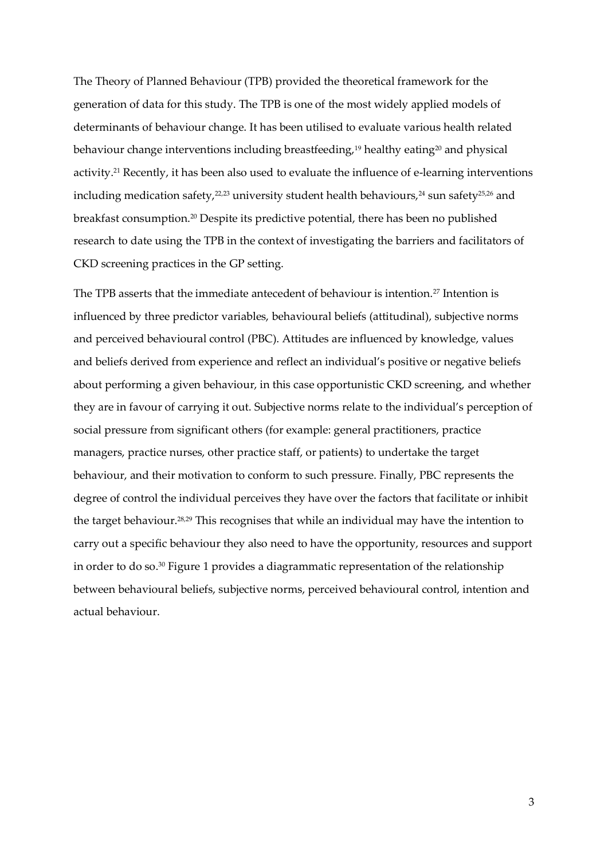The Theory of Planned Behaviour (TPB) provided the theoretical framework for the generation of data for this study. The TPB is one of the most widely applied models of determinants of behaviour change. It has been utilised to evaluate various health related behaviour change interventions including breastfeeding,<sup>19</sup> healthy eating<sup>20</sup> and physical activity.<sup>21</sup> Recently, it has been also used to evaluate the influence of e-learning interventions including medication safety,<sup>22,23</sup> university student health behaviours,<sup>24</sup> sun safety<sup>25,26</sup> and breakfast consumption.<sup>20</sup> Despite its predictive potential, there has been no published research to date using the TPB in the context of investigating the barriers and facilitators of CKD screening practices in the GP setting.

The TPB asserts that the immediate antecedent of behaviour is intention.<sup>27</sup> Intention is influenced by three predictor variables, behavioural beliefs (attitudinal), subjective norms and perceived behavioural control (PBC). Attitudes are influenced by knowledge, values and beliefs derived from experience and reflect an individual's positive or negative beliefs about performing a given behaviour, in this case opportunistic CKD screening, and whether they are in favour of carrying it out. Subjective norms relate to the individual's perception of social pressure from significant others (for example: general practitioners, practice managers, practice nurses, other practice staff, or patients) to undertake the target behaviour, and their motivation to conform to such pressure. Finally, PBC represents the degree of control the individual perceives they have over the factors that facilitate or inhibit the target behaviour. 28,29 This recognises that while an individual may have the intention to carry out a specific behaviour they also need to have the opportunity, resources and support in order to do so.<sup>30</sup> Figure 1 provides a diagrammatic representation of the relationship between behavioural beliefs, subjective norms, perceived behavioural control, intention and actual behaviour.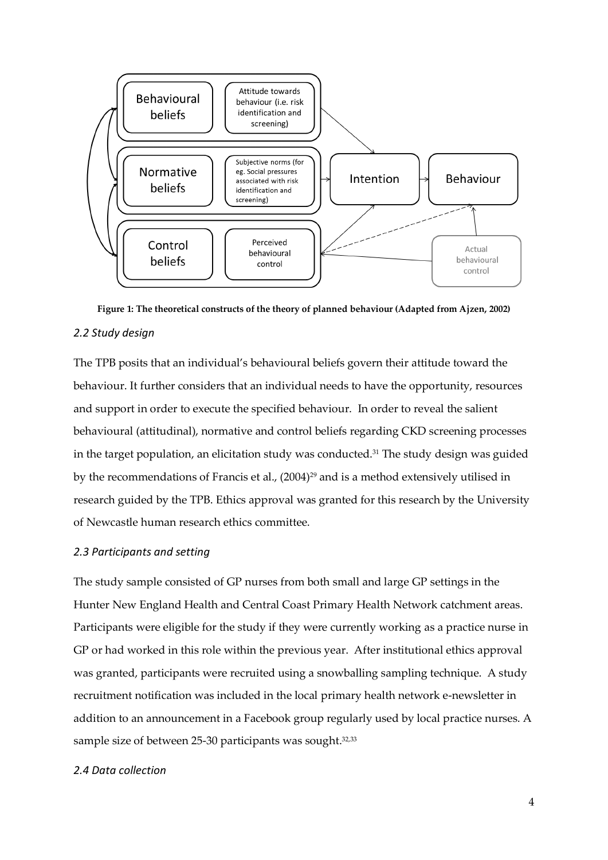

**Figure 1: The theoretical constructs of the theory of planned behaviour (Adapted from Ajzen, 2002)** *2.2 Study design*

The TPB posits that an individual's behavioural beliefs govern their attitude toward the behaviour. It further considers that an individual needs to have the opportunity, resources and support in order to execute the specified behaviour. In order to reveal the salient behavioural (attitudinal), normative and control beliefs regarding CKD screening processes in the target population, an elicitation study was conducted. <sup>31</sup> The study design was guided by the recommendations of Francis et al., (2004)<sup>29</sup> and is a method extensively utilised in research guided by the TPB. Ethics approval was granted for this research by the University of Newcastle human research ethics committee.

### *2.3 Participants and setting*

The study sample consisted of GP nurses from both small and large GP settings in the Hunter New England Health and Central Coast Primary Health Network catchment areas. Participants were eligible for the study if they were currently working as a practice nurse in GP or had worked in this role within the previous year. After institutional ethics approval was granted, participants were recruited using a snowballing sampling technique. A study recruitment notification was included in the local primary health network e-newsletter in addition to an announcement in a Facebook group regularly used by local practice nurses. A sample size of between 25-30 participants was sought. 32,33

### *2.4 Data collection*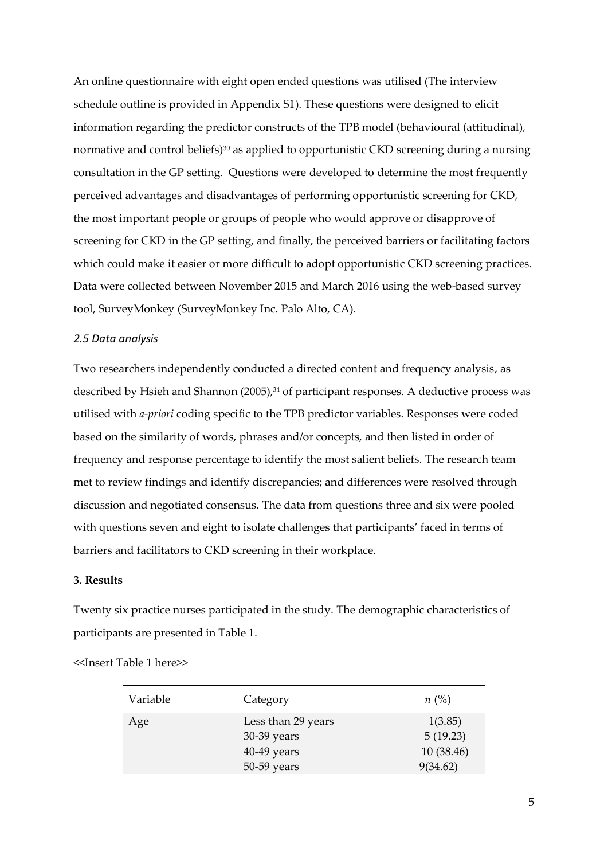An online questionnaire with eight open ended questions was utilised (The interview schedule outline is provided in Appendix S1). These questions were designed to elicit information regarding the predictor constructs of the TPB model (behavioural (attitudinal), normative and control beliefs)<sup>30</sup> as applied to opportunistic CKD screening during a nursing consultation in the GP setting. Questions were developed to determine the most frequently perceived advantages and disadvantages of performing opportunistic screening for CKD, the most important people or groups of people who would approve or disapprove of screening for CKD in the GP setting, and finally, the perceived barriers or facilitating factors which could make it easier or more difficult to adopt opportunistic CKD screening practices. Data were collected between November 2015 and March 2016 using the web-based survey tool, SurveyMonkey (SurveyMonkey Inc. Palo Alto, CA).

### *2.5 Data analysis*

Two researchers independently conducted a directed content and frequency analysis, as described by Hsieh and Shannon  $(2005)$ ,<sup>34</sup> of participant responses. A deductive process was utilised with *a-priori* coding specific to the TPB predictor variables. Responses were coded based on the similarity of words, phrases and/or concepts, and then listed in order of frequency and response percentage to identify the most salient beliefs. The research team met to review findings and identify discrepancies; and differences were resolved through discussion and negotiated consensus. The data from questions three and six were pooled with questions seven and eight to isolate challenges that participants' faced in terms of barriers and facilitators to CKD screening in their workplace.

### **3. Results**

Twenty six practice nurses participated in the study. The demographic characteristics of participants are presented in Table 1.

| Variable | Category                            | $n(\%)$             |
|----------|-------------------------------------|---------------------|
| Age      | Less than 29 years<br>$30-39$ years | 1(3.85)<br>5(19.23) |
|          | $40-49$ years                       | 10 (38.46)          |
|          | 50-59 years                         | 9(34.62)            |

<<Insert Table 1 here>>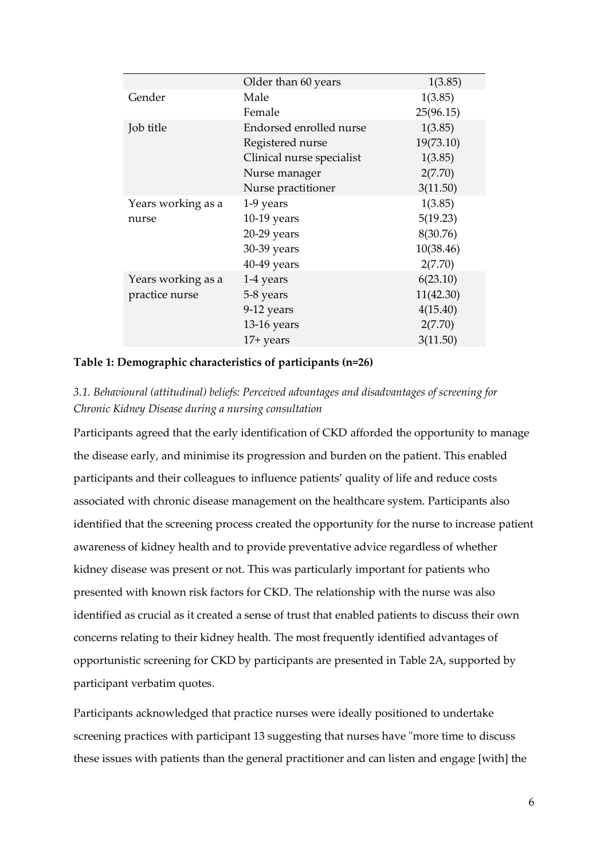|                    | Older than 60 years       | 1(3.85)   |
|--------------------|---------------------------|-----------|
| Gender             | Male                      | 1(3.85)   |
|                    | Female                    | 25(96.15) |
| Job title          | Endorsed enrolled nurse   | 1(3.85)   |
|                    | Registered nurse          | 19(73.10) |
|                    | Clinical nurse specialist | 1(3.85)   |
|                    | Nurse manager             | 2(7.70)   |
|                    | Nurse practitioner        | 3(11.50)  |
| Years working as a | 1-9 years                 | 1(3.85)   |
| nurse              | $10-19$ years             | 5(19.23)  |
|                    | $20-29$ years             | 8(30.76)  |
|                    | 30-39 years               | 10(38.46) |
|                    | 40-49 years               | 2(7.70)   |
| Years working as a | 1-4 years                 | 6(23.10)  |
| practice nurse     | 5-8 years                 | 11(42.30) |
|                    | 9-12 years                | 4(15.40)  |
|                    | $13-16$ years             | 2(7.70)   |
|                    | $17+$ years               | 3(11.50)  |

### **Table 1: Demographic characteristics of participants (n=26)**

*3.1. Behavioural (attitudinal) beliefs: Perceived advantages and disadvantages of screening for Chronic Kidney Disease during a nursing consultation*

Participants agreed that the early identification of CKD afforded the opportunity to manage the disease early, and minimise its progression and burden on the patient. This enabled participants and their colleagues to influence patients' quality of life and reduce costs associated with chronic disease management on the healthcare system. Participants also identified that the screening process created the opportunity for the nurse to increase patient awareness of kidney health and to provide preventative advice regardless of whether kidney disease was present or not. This was particularly important for patients who presented with known risk factors for CKD. The relationship with the nurse was also identified as crucial as it created a sense of trust that enabled patients to discuss their own concerns relating to their kidney health. The most frequently identified advantages of opportunistic screening for CKD by participants are presented in Table 2A, supported by participant verbatim quotes.

Participants acknowledged that practice nurses were ideally positioned to undertake screening practices with participant 13 suggesting that nurses have "more time to discuss these issues with patients than the general practitioner and can listen and engage [with] the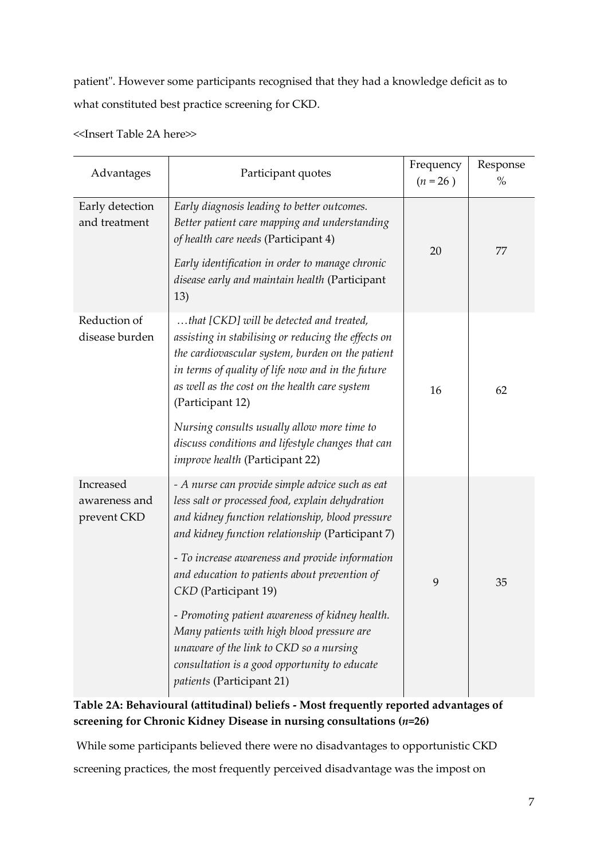patient". However some participants recognised that they had a knowledge deficit as to what constituted best practice screening for CKD.

### <<Insert Table 2A here>>

| Advantages                                | Participant quotes                                                                                                                                                                                                                                                                                                                                                                                                                                                                                                                                                | Frequency<br>$(n = 26)$ | Response<br>$\%$ |
|-------------------------------------------|-------------------------------------------------------------------------------------------------------------------------------------------------------------------------------------------------------------------------------------------------------------------------------------------------------------------------------------------------------------------------------------------------------------------------------------------------------------------------------------------------------------------------------------------------------------------|-------------------------|------------------|
| Early detection<br>and treatment          | Early diagnosis leading to better outcomes.<br>Better patient care mapping and understanding<br>of health care needs (Participant 4)<br>Early identification in order to manage chronic<br>disease early and maintain health (Participant<br>13)                                                                                                                                                                                                                                                                                                                  | 20                      | 77               |
| Reduction of<br>disease burden            | that [CKD] will be detected and treated,<br>assisting in stabilising or reducing the effects on<br>the cardiovascular system, burden on the patient<br>in terms of quality of life now and in the future<br>as well as the cost on the health care system<br>(Participant 12)<br>Nursing consults usually allow more time to<br>discuss conditions and lifestyle changes that can<br><i>improve health</i> (Participant 22)                                                                                                                                       | 16                      | 62               |
| Increased<br>awareness and<br>prevent CKD | - A nurse can provide simple advice such as eat<br>less salt or processed food, explain dehydration<br>and kidney function relationship, blood pressure<br>and kidney function relationship (Participant 7)<br>- To increase awareness and provide information<br>and education to patients about prevention of<br>CKD (Participant 19)<br>- Promoting patient awareness of kidney health.<br>Many patients with high blood pressure are<br>unaware of the link to CKD so a nursing<br>consultation is a good opportunity to educate<br>patients (Participant 21) | 9                       | 35               |

**Table 2A: Behavioural (attitudinal) beliefs - Most frequently reported advantages of screening for Chronic Kidney Disease in nursing consultations (***n=***26)**

While some participants believed there were no disadvantages to opportunistic CKD screening practices, the most frequently perceived disadvantage was the impost on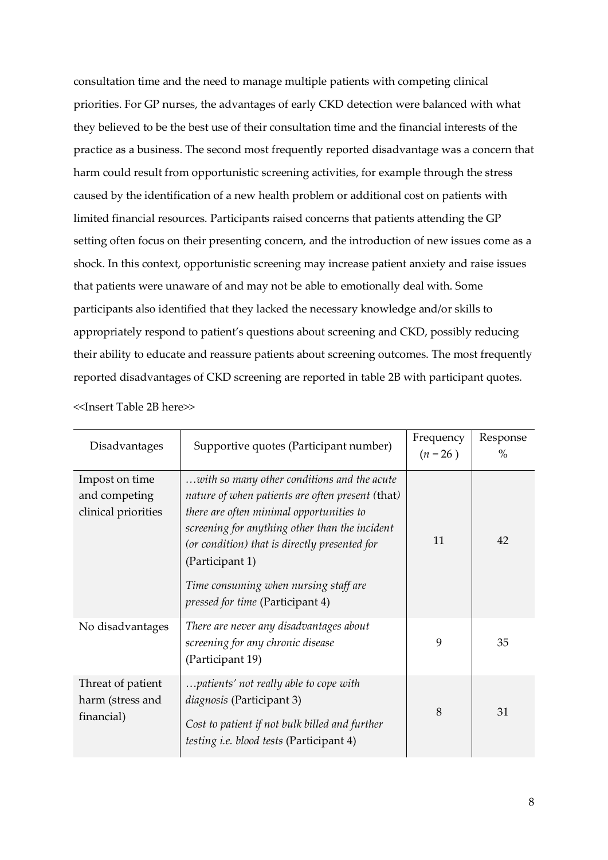consultation time and the need to manage multiple patients with competing clinical priorities. For GP nurses, the advantages of early CKD detection were balanced with what they believed to be the best use of their consultation time and the financial interests of the practice as a business. The second most frequently reported disadvantage was a concern that harm could result from opportunistic screening activities, for example through the stress caused by the identification of a new health problem or additional cost on patients with limited financial resources. Participants raised concerns that patients attending the GP setting often focus on their presenting concern, and the introduction of new issues come as a shock. In this context, opportunistic screening may increase patient anxiety and raise issues that patients were unaware of and may not be able to emotionally deal with. Some participants also identified that they lacked the necessary knowledge and/or skills to appropriately respond to patient's questions about screening and CKD, possibly reducing their ability to educate and reassure patients about screening outcomes. The most frequently reported disadvantages of CKD screening are reported in table 2B with participant quotes.

| Disadvantages                                          | Supportive quotes (Participant number)                                                                                                                                                                                                                                                                                                                | Frequency<br>$(n = 26)$ | Response<br>$\%$ |
|--------------------------------------------------------|-------------------------------------------------------------------------------------------------------------------------------------------------------------------------------------------------------------------------------------------------------------------------------------------------------------------------------------------------------|-------------------------|------------------|
| Impost on time<br>and competing<br>clinical priorities | with so many other conditions and the acute<br>nature of when patients are often present (that)<br>there are often minimal opportunities to<br>screening for anything other than the incident<br>(or condition) that is directly presented for<br>(Participant 1)<br>Time consuming when nursing staff are<br><i>pressed for time</i> (Participant 4) | 11                      | 42               |
| No disadvantages                                       | There are never any disadvantages about<br>screening for any chronic disease<br>(Participant 19)                                                                                                                                                                                                                                                      | 9                       | 35               |
| Threat of patient<br>harm (stress and<br>financial)    | patients' not really able to cope with<br>diagnosis (Participant 3)<br>Cost to patient if not bulk billed and further<br>testing <i>i.e.</i> blood tests (Participant 4)                                                                                                                                                                              | 8                       | 31               |

<<Insert Table 2B here>>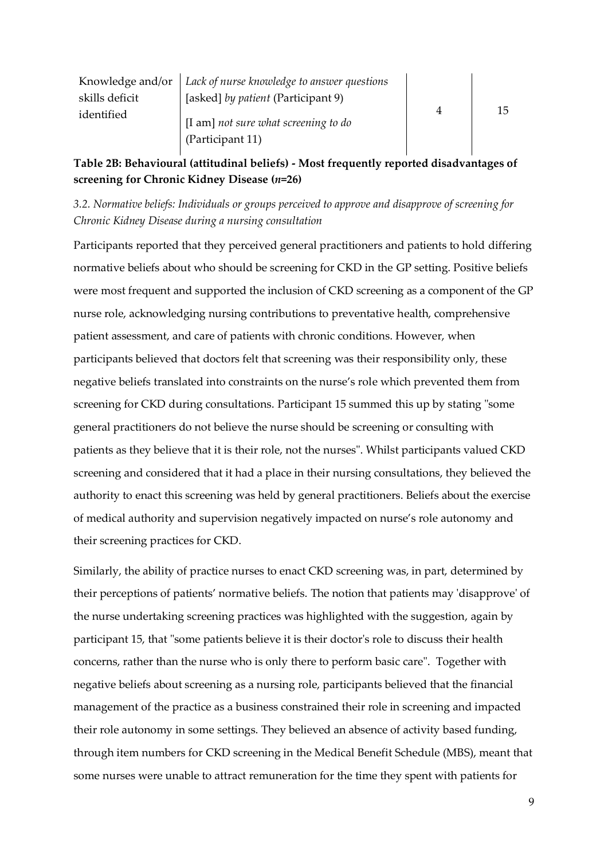|                | Knowledge and/or $ $ Lack of nurse knowledge to answer questions |   |  |
|----------------|------------------------------------------------------------------|---|--|
| skills deficit | [asked] by patient (Participant 9)                               |   |  |
| identified     | $\vert$ [I am] not sure what screening to do                     | 4 |  |
|                | (Participant 11)                                                 |   |  |

### **Table 2B: Behavioural (attitudinal beliefs) - Most frequently reported disadvantages of screening for Chronic Kidney Disease (***n=***26)**

*3.2. Normative beliefs: Individuals or groups perceived to approve and disapprove of screening for Chronic Kidney Disease during a nursing consultation*

Participants reported that they perceived general practitioners and patients to hold differing normative beliefs about who should be screening for CKD in the GP setting. Positive beliefs were most frequent and supported the inclusion of CKD screening as a component of the GP nurse role, acknowledging nursing contributions to preventative health, comprehensive patient assessment, and care of patients with chronic conditions. However, when participants believed that doctors felt that screening was their responsibility only, these negative beliefs translated into constraints on the nurse's role which prevented them from screening for CKD during consultations. Participant 15 summed this up by stating "some general practitioners do not believe the nurse should be screening or consulting with patients as they believe that it is their role, not the nurses". Whilst participants valued CKD screening and considered that it had a place in their nursing consultations, they believed the authority to enact this screening was held by general practitioners. Beliefs about the exercise of medical authority and supervision negatively impacted on nurse's role autonomy and their screening practices for CKD.

Similarly, the ability of practice nurses to enact CKD screening was, in part, determined by their perceptions of patients' normative beliefs. The notion that patients may 'disapprove' of the nurse undertaking screening practices was highlighted with the suggestion, again by participant 15, that "some patients believe it is their doctor's role to discuss their health concerns, rather than the nurse who is only there to perform basic care". Together with negative beliefs about screening as a nursing role, participants believed that the financial management of the practice as a business constrained their role in screening and impacted their role autonomy in some settings. They believed an absence of activity based funding, through item numbers for CKD screening in the Medical Benefit Schedule (MBS), meant that some nurses were unable to attract remuneration for the time they spent with patients for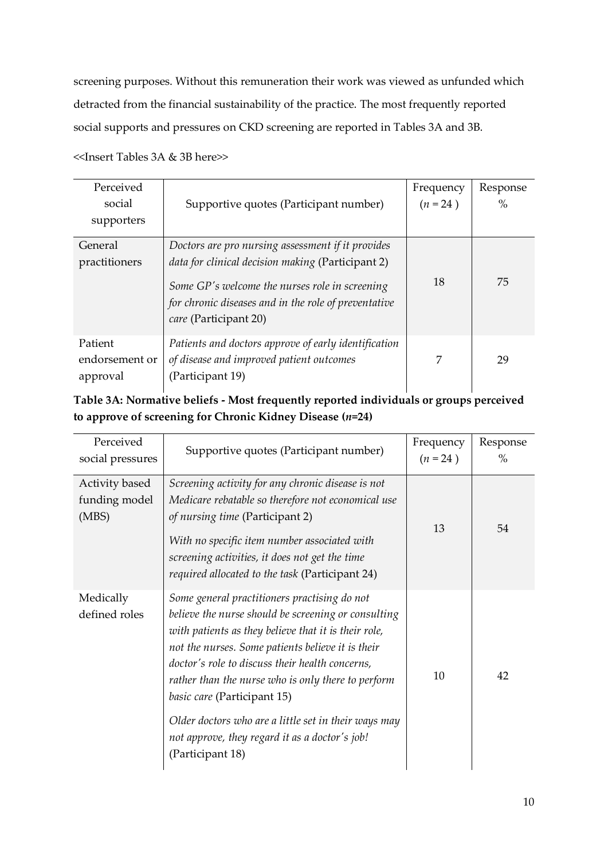screening purposes. Without this remuneration their work was viewed as unfunded which detracted from the financial sustainability of the practice. The most frequently reported social supports and pressures on CKD screening are reported in Tables 3A and 3B.

|                                                      | Frequency                                                                                              | Response |
|------------------------------------------------------|--------------------------------------------------------------------------------------------------------|----------|
| Supportive quotes (Participant number)               | $(n = 24)$                                                                                             | $\%$     |
|                                                      |                                                                                                        |          |
| Doctors are pro nursing assessment if it provides    |                                                                                                        |          |
| data for clinical decision making (Participant 2)    |                                                                                                        |          |
|                                                      | 18                                                                                                     | 75       |
|                                                      |                                                                                                        |          |
| care (Participant 20)                                |                                                                                                        |          |
| Patients and doctors approve of early identification |                                                                                                        |          |
| of disease and improved patient outcomes             | 7                                                                                                      | 29       |
| (Participant 19)                                     |                                                                                                        |          |
|                                                      | Some GP's welcome the nurses role in screening<br>for chronic diseases and in the role of preventative |          |

<<Insert Tables 3A & 3B here>>

## **Table 3A: Normative beliefs - Most frequently reported individuals or groups perceived to approve of screening for Chronic Kidney Disease (***n=***24)**

| Perceived<br>social pressures            | Supportive quotes (Participant number)                                                                                                                                                                                                                                                                                                                                                                                                                                                 | Frequency<br>$(n = 24)$ | Response<br>$\%$ |
|------------------------------------------|----------------------------------------------------------------------------------------------------------------------------------------------------------------------------------------------------------------------------------------------------------------------------------------------------------------------------------------------------------------------------------------------------------------------------------------------------------------------------------------|-------------------------|------------------|
| Activity based<br>funding model<br>(MBS) | Screening activity for any chronic disease is not<br>Medicare rebatable so therefore not economical use<br>of nursing time (Participant 2)<br>With no specific item number associated with<br>screening activities, it does not get the time<br>required allocated to the task (Participant 24)                                                                                                                                                                                        | 13                      | 54               |
| Medically<br>defined roles               | Some general practitioners practising do not<br>believe the nurse should be screening or consulting<br>with patients as they believe that it is their role,<br>not the nurses. Some patients believe it is their<br>doctor's role to discuss their health concerns,<br>rather than the nurse who is only there to perform<br>basic care (Participant 15)<br>Older doctors who are a little set in their ways may<br>not approve, they regard it as a doctor's job!<br>(Participant 18) | 10                      | 42               |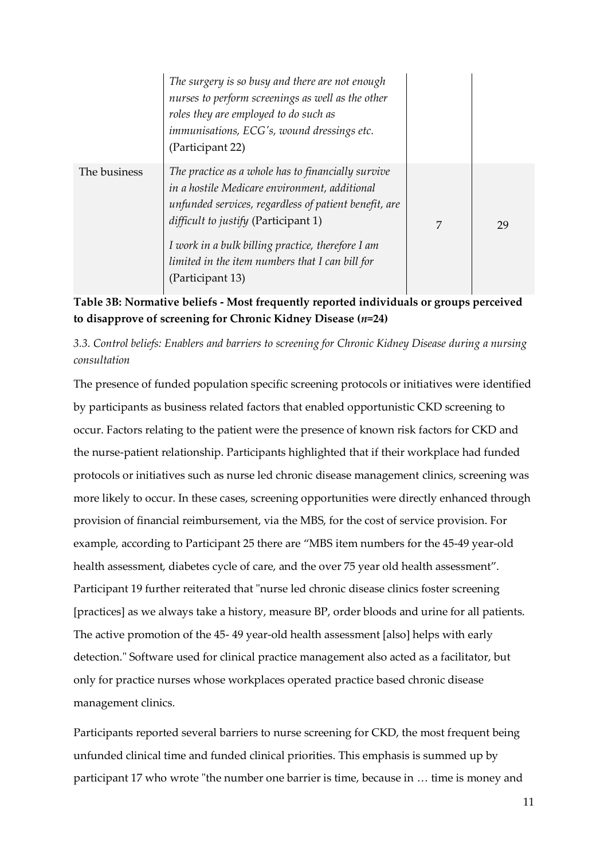|              | The surgery is so busy and there are not enough<br>nurses to perform screenings as well as the other<br>roles they are employed to do such as<br>immunisations, ECG's, wound dressings etc.<br>(Participant 22)                                                                                                                         |   |    |
|--------------|-----------------------------------------------------------------------------------------------------------------------------------------------------------------------------------------------------------------------------------------------------------------------------------------------------------------------------------------|---|----|
| The business | The practice as a whole has to financially survive<br>in a hostile Medicare environment, additional<br>unfunded services, regardless of patient benefit, are<br><i>difficult to justify</i> (Participant 1)<br>I work in a bulk billing practice, therefore I am<br>limited in the item numbers that I can bill for<br>(Participant 13) | 7 | 29 |

**Table 3B: Normative beliefs - Most frequently reported individuals or groups perceived to disapprove of screening for Chronic Kidney Disease (***n=***24)**

*3.3. Control beliefs: Enablers and barriers to screening for Chronic Kidney Disease during a nursing consultation*

The presence of funded population specific screening protocols or initiatives were identified by participants as business related factors that enabled opportunistic CKD screening to occur. Factors relating to the patient were the presence of known risk factors for CKD and the nurse-patient relationship. Participants highlighted that if their workplace had funded protocols or initiatives such as nurse led chronic disease management clinics, screening was more likely to occur. In these cases, screening opportunities were directly enhanced through provision of financial reimbursement, via the MBS, for the cost of service provision. For example, according to Participant 25 there are "MBS item numbers for the 45-49 year-old health assessment, diabetes cycle of care, and the over 75 year old health assessment". Participant 19 further reiterated that "nurse led chronic disease clinics foster screening [practices] as we always take a history, measure BP, order bloods and urine for all patients. The active promotion of the 45- 49 year-old health assessment [also] helps with early detection." Software used for clinical practice management also acted as a facilitator, but only for practice nurses whose workplaces operated practice based chronic disease management clinics.

Participants reported several barriers to nurse screening for CKD, the most frequent being unfunded clinical time and funded clinical priorities. This emphasis is summed up by participant 17 who wrote "the number one barrier is time, because in … time is money and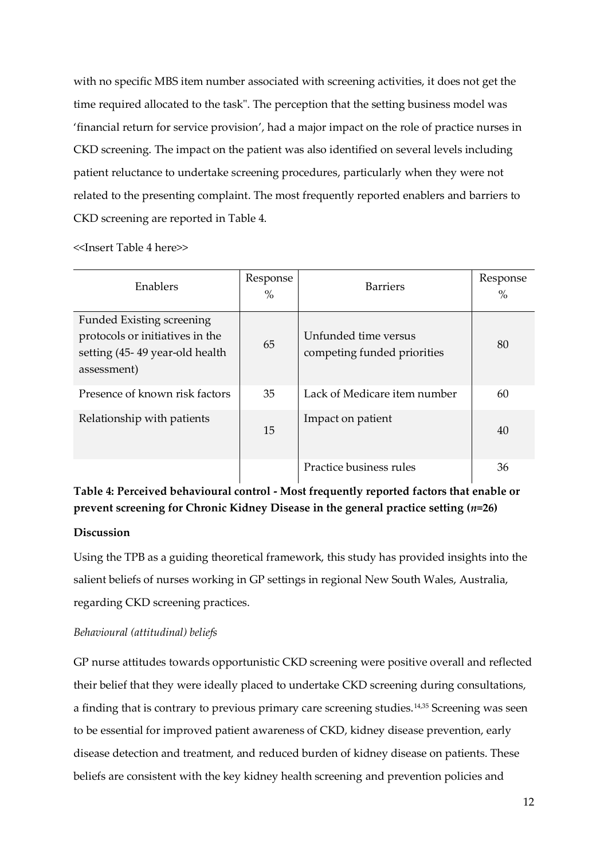with no specific MBS item number associated with screening activities, it does not get the time required allocated to the task". The perception that the setting business model was 'financial return for service provision', had a major impact on the role of practice nurses in CKD screening. The impact on the patient was also identified on several levels including patient reluctance to undertake screening procedures, particularly when they were not related to the presenting complaint. The most frequently reported enablers and barriers to CKD screening are reported in Table 4.

<<Insert Table 4 here>>

| Enablers                                                                                                      | Response<br>$\%$ | <b>Barriers</b>                                     | Response<br>$\%$ |
|---------------------------------------------------------------------------------------------------------------|------------------|-----------------------------------------------------|------------------|
| Funded Existing screening<br>protocols or initiatives in the<br>setting (45-49 year-old health<br>assessment) | 65               | Unfunded time versus<br>competing funded priorities | 80               |
| Presence of known risk factors                                                                                | 35               | Lack of Medicare item number                        | 60               |
| Relationship with patients                                                                                    | 15               | Impact on patient                                   | 40               |
|                                                                                                               |                  | Practice business rules                             | 36               |

### **Table 4: Perceived behavioural control - Most frequently reported factors that enable or prevent screening for Chronic Kidney Disease in the general practice setting (***n=***26)**

### **Discussion**

Using the TPB as a guiding theoretical framework, this study has provided insights into the salient beliefs of nurses working in GP settings in regional New South Wales, Australia, regarding CKD screening practices.

### *Behavioural (attitudinal) beliefs*

GP nurse attitudes towards opportunistic CKD screening were positive overall and reflected their belief that they were ideally placed to undertake CKD screening during consultations, a finding that is contrary to previous primary care screening studies.<sup>14,35</sup> Screening was seen to be essential for improved patient awareness of CKD, kidney disease prevention, early disease detection and treatment, and reduced burden of kidney disease on patients. These beliefs are consistent with the key kidney health screening and prevention policies and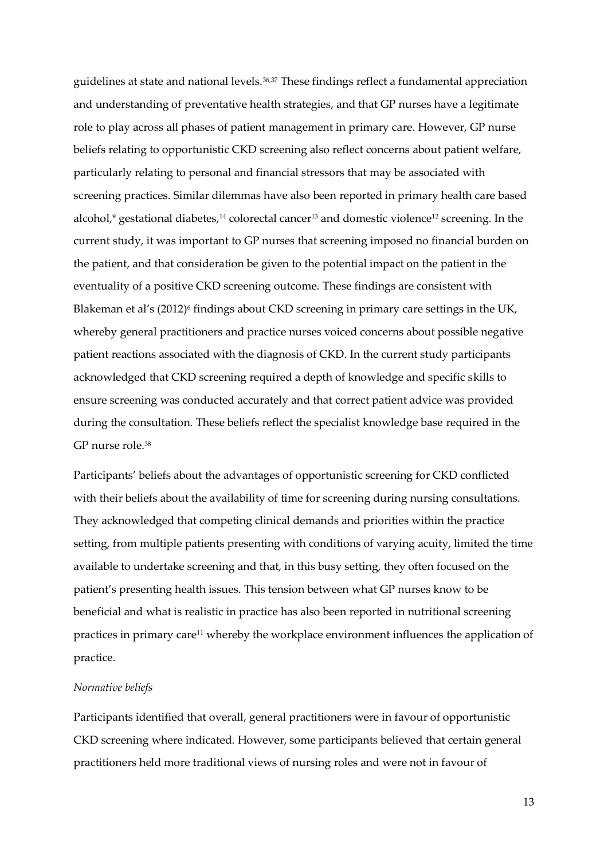guidelines at state and national levels.<sup>36,37</sup> These findings reflect a fundamental appreciation and understanding of preventative health strategies, and that GP nurses have a legitimate role to play across all phases of patient management in primary care. However, GP nurse beliefs relating to opportunistic CKD screening also reflect concerns about patient welfare, particularly relating to personal and financial stressors that may be associated with screening practices. Similar dilemmas have also been reported in primary health care based alcohol,<sup>9</sup> gestational diabetes,<sup>14</sup> colorectal cancer<sup>13</sup> and domestic violence<sup>12</sup> screening. In the current study, it was important to GP nurses that screening imposed no financial burden on the patient, and that consideration be given to the potential impact on the patient in the eventuality of a positive CKD screening outcome. These findings are consistent with Blakeman et al's (2012)<sup>6</sup> findings about CKD screening in primary care settings in the UK, whereby general practitioners and practice nurses voiced concerns about possible negative patient reactions associated with the diagnosis of CKD. In the current study participants acknowledged that CKD screening required a depth of knowledge and specific skills to ensure screening was conducted accurately and that correct patient advice was provided during the consultation. These beliefs reflect the specialist knowledge base required in the GP nurse role.<sup>38</sup>

Participants' beliefs about the advantages of opportunistic screening for CKD conflicted with their beliefs about the availability of time for screening during nursing consultations. They acknowledged that competing clinical demands and priorities within the practice setting, from multiple patients presenting with conditions of varying acuity, limited the time available to undertake screening and that, in this busy setting, they often focused on the patient's presenting health issues. This tension between what GP nurses know to be beneficial and what is realistic in practice has also been reported in nutritional screening practices in primary care<sup>11</sup> whereby the workplace environment influences the application of practice.

### *Normative beliefs*

Participants identified that overall, general practitioners were in favour of opportunistic CKD screening where indicated. However, some participants believed that certain general practitioners held more traditional views of nursing roles and were not in favour of

13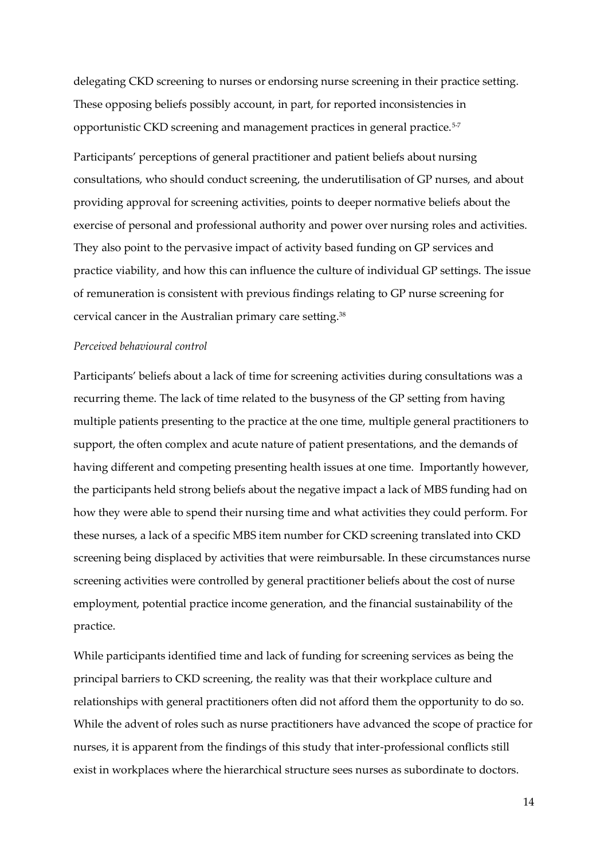delegating CKD screening to nurses or endorsing nurse screening in their practice setting. These opposing beliefs possibly account, in part, for reported inconsistencies in opportunistic CKD screening and management practices in general practice.<sup>5-7</sup>

Participants' perceptions of general practitioner and patient beliefs about nursing consultations, who should conduct screening, the underutilisation of GP nurses, and about providing approval for screening activities, points to deeper normative beliefs about the exercise of personal and professional authority and power over nursing roles and activities. They also point to the pervasive impact of activity based funding on GP services and practice viability, and how this can influence the culture of individual GP settings. The issue of remuneration is consistent with previous findings relating to GP nurse screening for cervical cancer in the Australian primary care setting. 38

#### *Perceived behavioural control*

Participants' beliefs about a lack of time for screening activities during consultations was a recurring theme. The lack of time related to the busyness of the GP setting from having multiple patients presenting to the practice at the one time, multiple general practitioners to support, the often complex and acute nature of patient presentations, and the demands of having different and competing presenting health issues at one time. Importantly however, the participants held strong beliefs about the negative impact a lack of MBS funding had on how they were able to spend their nursing time and what activities they could perform. For these nurses, a lack of a specific MBS item number for CKD screening translated into CKD screening being displaced by activities that were reimbursable. In these circumstances nurse screening activities were controlled by general practitioner beliefs about the cost of nurse employment, potential practice income generation, and the financial sustainability of the practice.

While participants identified time and lack of funding for screening services as being the principal barriers to CKD screening, the reality was that their workplace culture and relationships with general practitioners often did not afford them the opportunity to do so. While the advent of roles such as nurse practitioners have advanced the scope of practice for nurses, it is apparent from the findings of this study that inter-professional conflicts still exist in workplaces where the hierarchical structure sees nurses as subordinate to doctors.

14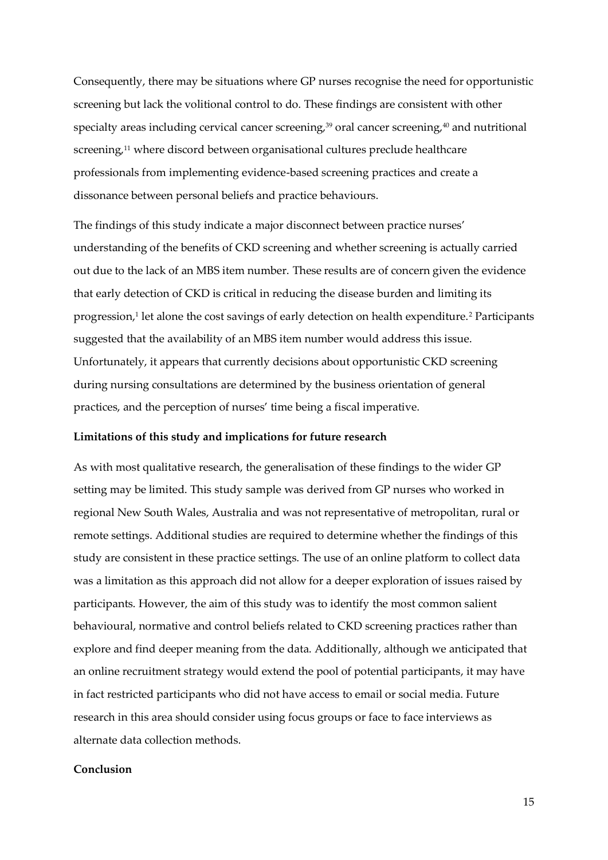Consequently, there may be situations where GP nurses recognise the need for opportunistic screening but lack the volitional control to do. These findings are consistent with other specialty areas including cervical cancer screening,<sup>39</sup> oral cancer screening,<sup>40</sup> and nutritional screening,<sup>11</sup> where discord between organisational cultures preclude healthcare professionals from implementing evidence-based screening practices and create a dissonance between personal beliefs and practice behaviours.

The findings of this study indicate a major disconnect between practice nurses' understanding of the benefits of CKD screening and whether screening is actually carried out due to the lack of an MBS item number. These results are of concern given the evidence that early detection of CKD is critical in reducing the disease burden and limiting its progression,<sup>1</sup> let alone the cost savings of early detection on health expenditure.<sup>2</sup> Participants suggested that the availability of an MBS item number would address this issue. Unfortunately, it appears that currently decisions about opportunistic CKD screening during nursing consultations are determined by the business orientation of general practices, and the perception of nurses' time being a fiscal imperative.

### **Limitations of this study and implications for future research**

As with most qualitative research, the generalisation of these findings to the wider GP setting may be limited. This study sample was derived from GP nurses who worked in regional New South Wales, Australia and was not representative of metropolitan, rural or remote settings. Additional studies are required to determine whether the findings of this study are consistent in these practice settings. The use of an online platform to collect data was a limitation as this approach did not allow for a deeper exploration of issues raised by participants. However, the aim of this study was to identify the most common salient behavioural, normative and control beliefs related to CKD screening practices rather than explore and find deeper meaning from the data. Additionally, although we anticipated that an online recruitment strategy would extend the pool of potential participants, it may have in fact restricted participants who did not have access to email or social media. Future research in this area should consider using focus groups or face to face interviews as alternate data collection methods.

### **Conclusion**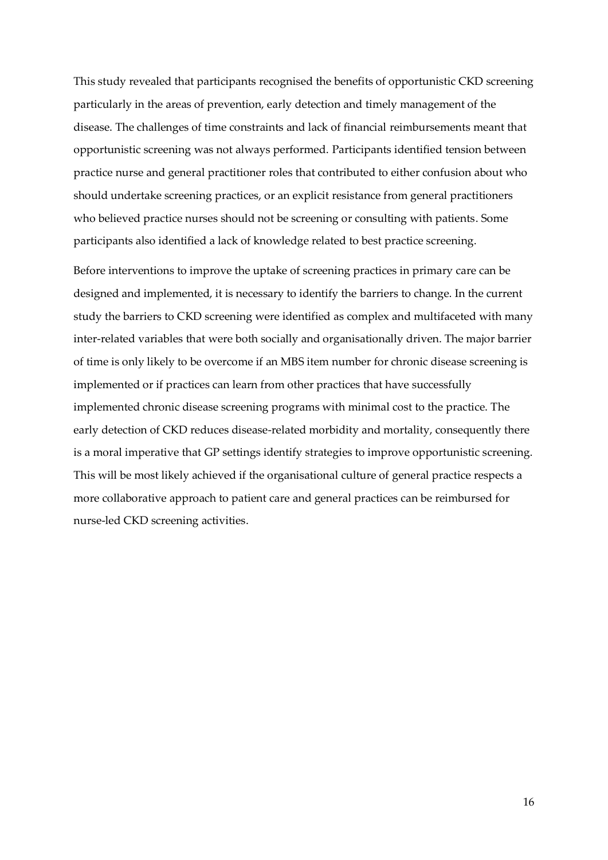This study revealed that participants recognised the benefits of opportunistic CKD screening particularly in the areas of prevention, early detection and timely management of the disease. The challenges of time constraints and lack of financial reimbursements meant that opportunistic screening was not always performed. Participants identified tension between practice nurse and general practitioner roles that contributed to either confusion about who should undertake screening practices, or an explicit resistance from general practitioners who believed practice nurses should not be screening or consulting with patients. Some participants also identified a lack of knowledge related to best practice screening.

Before interventions to improve the uptake of screening practices in primary care can be designed and implemented, it is necessary to identify the barriers to change. In the current study the barriers to CKD screening were identified as complex and multifaceted with many inter-related variables that were both socially and organisationally driven. The major barrier of time is only likely to be overcome if an MBS item number for chronic disease screening is implemented or if practices can learn from other practices that have successfully implemented chronic disease screening programs with minimal cost to the practice. The early detection of CKD reduces disease-related morbidity and mortality, consequently there is a moral imperative that GP settings identify strategies to improve opportunistic screening. This will be most likely achieved if the organisational culture of general practice respects a more collaborative approach to patient care and general practices can be reimbursed for nurse-led CKD screening activities.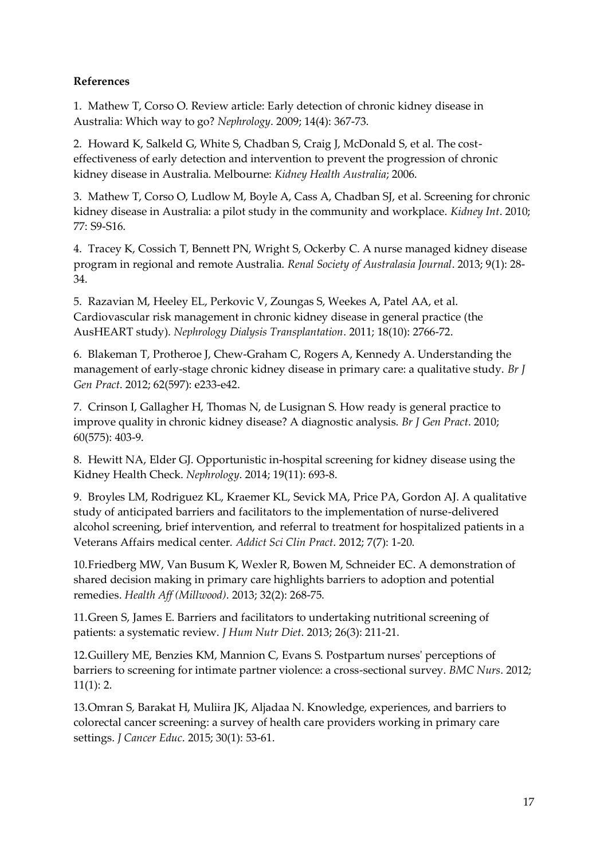### **References**

1. Mathew T, Corso O. Review article: Early detection of chronic kidney disease in Australia: Which way to go? *Nephrology*. 2009; 14(4): 367-73.

2. Howard K, Salkeld G, White S, Chadban S, Craig J, McDonald S, et al. The costeffectiveness of early detection and intervention to prevent the progression of chronic kidney disease in Australia. Melbourne: *Kidney Health Australia*; 2006.

3. Mathew T, Corso O, Ludlow M, Boyle A, Cass A, Chadban SJ, et al. Screening for chronic kidney disease in Australia: a pilot study in the community and workplace. *Kidney Int*. 2010; 77: S9-S16.

4. Tracey K, Cossich T, Bennett PN, Wright S, Ockerby C. A nurse managed kidney disease program in regional and remote Australia. *Renal Society of Australasia Journal*. 2013; 9(1): 28- 34.

5. Razavian M, Heeley EL, Perkovic V, Zoungas S, Weekes A, Patel AA, et al. Cardiovascular risk management in chronic kidney disease in general practice (the AusHEART study). *Nephrology Dialysis Transplantation*. 2011; 18(10): 2766-72.

6. Blakeman T, Protheroe J, Chew-Graham C, Rogers A, Kennedy A. Understanding the management of early-stage chronic kidney disease in primary care: a qualitative study. *Br J Gen Pract*. 2012; 62(597): e233-e42.

7. Crinson I, Gallagher H, Thomas N, de Lusignan S. How ready is general practice to improve quality in chronic kidney disease? A diagnostic analysis. *Br J Gen Pract*. 2010; 60(575): 403-9.

8. Hewitt NA, Elder GJ. Opportunistic in‐hospital screening for kidney disease using the Kidney Health Check. *Nephrology*. 2014; 19(11): 693-8.

9. Broyles LM, Rodriguez KL, Kraemer KL, Sevick MA, Price PA, Gordon AJ. A qualitative study of anticipated barriers and facilitators to the implementation of nurse-delivered alcohol screening, brief intervention, and referral to treatment for hospitalized patients in a Veterans Affairs medical center. *Addict Sci Clin Pract*. 2012; 7(7): 1-20.

10.Friedberg MW, Van Busum K, Wexler R, Bowen M, Schneider EC. A demonstration of shared decision making in primary care highlights barriers to adoption and potential remedies. *Health Aff (Millwood)*. 2013; 32(2): 268-75.

11.Green S, James E. Barriers and facilitators to undertaking nutritional screening of patients: a systematic review. *J Hum Nutr Diet*. 2013; 26(3): 211-21.

12.Guillery ME, Benzies KM, Mannion C, Evans S. Postpartum nurses' perceptions of barriers to screening for intimate partner violence: a cross-sectional survey. *BMC Nurs*. 2012;  $11(1): 2.$ 

13.Omran S, Barakat H, Muliira JK, Aljadaa N. Knowledge, experiences, and barriers to colorectal cancer screening: a survey of health care providers working in primary care settings. *J Cancer Educ*. 2015; 30(1): 53-61.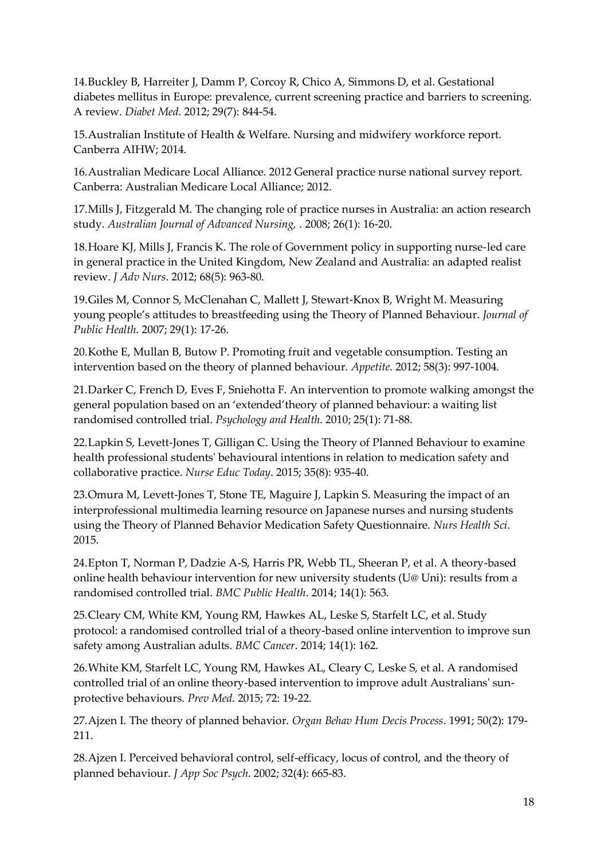14.Buckley B, Harreiter J, Damm P, Corcoy R, Chico A, Simmons D, et al. Gestational diabetes mellitus in Europe: prevalence, current screening practice and barriers to screening. A review. *Diabet Med*. 2012; 29(7): 844-54.

15.Australian Institute of Health & Welfare. Nursing and midwifery workforce report. Canberra AIHW; 2014.

16.Australian Medicare Local Alliance. 2012 General practice nurse national survey report. Canberra: Australian Medicare Local Alliance; 2012.

17.Mills J, Fitzgerald M. The changing role of practice nurses in Australia: an action research study. *Australian Journal of Advanced Nursing,* . 2008; 26(1): 16-20.

18.Hoare KJ, Mills J, Francis K. The role of Government policy in supporting nurse‐led care in general practice in the United Kingdom, New Zealand and Australia: an adapted realist review. *J Adv Nurs*. 2012; 68(5): 963-80.

19.Giles M, Connor S, McClenahan C, Mallett J, Stewart-Knox B, Wright M. Measuring young people's attitudes to breastfeeding using the Theory of Planned Behaviour. *Journal of Public Health*. 2007; 29(1): 17-26.

20.Kothe E, Mullan B, Butow P. Promoting fruit and vegetable consumption. Testing an intervention based on the theory of planned behaviour. *Appetite*. 2012; 58(3): 997-1004.

21.Darker C, French D, Eves F, Sniehotta F. An intervention to promote walking amongst the general population based on an 'extended'theory of planned behaviour: a waiting list randomised controlled trial. *Psychology and Health*. 2010; 25(1): 71-88.

22.Lapkin S, Levett-Jones T, Gilligan C. Using the Theory of Planned Behaviour to examine health professional students' behavioural intentions in relation to medication safety and collaborative practice. *Nurse Educ Today*. 2015; 35(8): 935-40.

23.Omura M, Levett‐Jones T, Stone TE, Maguire J, Lapkin S. Measuring the impact of an interprofessional multimedia learning resource on Japanese nurses and nursing students using the Theory of Planned Behavior Medication Safety Questionnaire. *Nurs Health Sci*. 2015.

24.Epton T, Norman P, Dadzie A-S, Harris PR, Webb TL, Sheeran P, et al. A theory-based online health behaviour intervention for new university students (U@ Uni): results from a randomised controlled trial. *BMC Public Health*. 2014; 14(1): 563.

25.Cleary CM, White KM, Young RM, Hawkes AL, Leske S, Starfelt LC, et al. Study protocol: a randomised controlled trial of a theory-based online intervention to improve sun safety among Australian adults. *BMC Cancer*. 2014; 14(1): 162.

26.White KM, Starfelt LC, Young RM, Hawkes AL, Cleary C, Leske S, et al. A randomised controlled trial of an online theory-based intervention to improve adult Australians' sunprotective behaviours. *Prev Med*. 2015; 72: 19-22.

27.Ajzen I. The theory of planned behavior. *Organ Behav Hum Decis Process*. 1991; 50(2): 179- 211.

28.Ajzen I. Perceived behavioral control, self-efficacy, locus of control, and the theory of planned behaviour. *J App Soc Psych*. 2002; 32(4): 665-83.